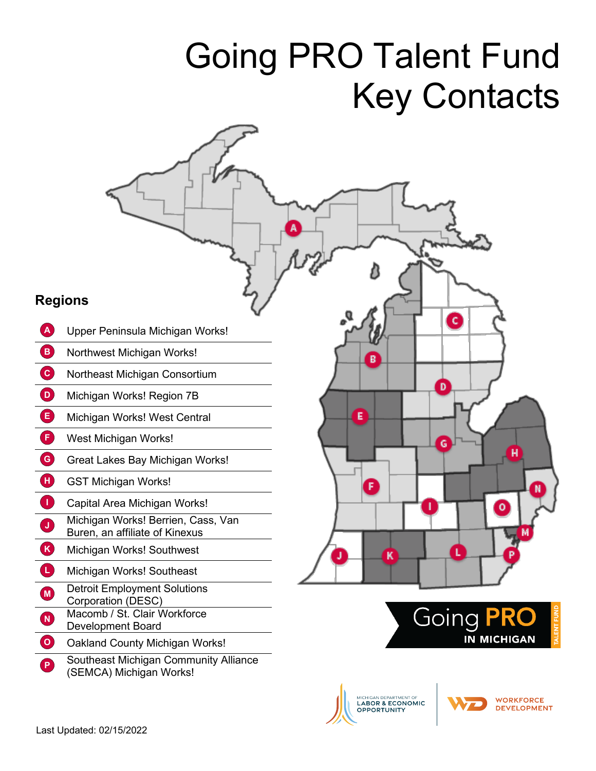## Going PRO Talent Fund Key Contacts

## **Regions**

- Upper Peninsula Michigan Works! **A**
- Northwest Michigan Works! **B**
- Northeast Michigan Consortium **C**
- Michigan Works! Region 7B **D**
- Michigan Works! West Central **E**
- West Michigan Works! **F**
- Great Lakes Bay Michigan Works! **G**
- GST Michigan Works! **H**
- Capital Area Michigan Works! **I**
- Michigan Works! Berrien, Cass, Van Buren, an affiliate of Kinexus **J**
- Michigan Works! Southwest **K**
- Michigan Works! Southeast **L**
- Detroit Employment Solutions Corporation (DESC) **M**
- Macomb / St. Clair Workforce Development Board **N**
- Oakland County Michigan Works! **O**
- Southeast Michigan Community Alliance (SEMCA) Michigan Works! **P**